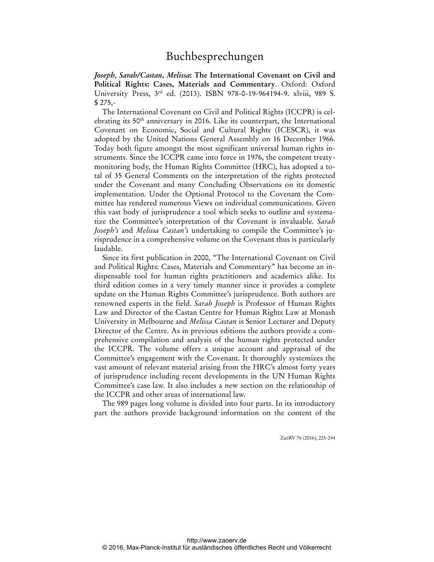*Joseph, Sarah/Castan, Melissa***: The International Covenant on Civil and Political Rights: Cases, Materials and Commentary**. Oxford: Oxford University Press, 3rd ed. (2013). ISBN 978-0-19-964194-9. xlviii, 989 S. \$ 275,-

The International Covenant on Civil and Political Rights (ICCPR) is celebrating its 50<sup>th</sup> anniversary in 2016. Like its counterpart, the International Covenant on Economic, Social and Cultural Rights (ICESCR), it was adopted by the United Nations General Assembly on 16 December 1966. Today both figure amongst the most significant universal human rights instruments. Since the ICCPR came into force in 1976, the competent treatymonitoring body, the Human Rights Committee (HRC), has adopted a total of 35 General Comments on the interpretation of the rights protected under the Covenant and many Concluding Observations on its domestic implementation. Under the Optional Protocol to the Covenant the Committee has rendered numerous Views on individual communications. Given this vast body of jurisprudence a tool which seeks to outline and systematize the Committee's interpretation of the Covenant is invaluable. *Sarah Joseph's* and *Melissa Castan's* undertaking to compile the Committee's jurisprudence in a comprehensive volume on the Covenant thus is particularly laudable.

Since its first publication in 2000, "The International Covenant on Civil and Political Rights: Cases, Materials and Commentary" has become an indispensable tool for human rights practitioners and academics alike. Its third edition comes in a very timely manner since it provides a complete update on the Human Rights Committee's jurisprudence. Both authors are renowned experts in the field. *Sarah Joseph* is Professor of Human Rights Law and Director of the Castan Centre for Human Rights Law at Monash University in Melbourne and *Melissa Castan* is Senior Lecturer and Deputy Director of the Centre. As in previous editions the authors provide a comprehensive compilation and analysis of the human rights protected under the ICCPR. The volume offers a unique account and appraisal of the Committee's engagement with the Covenant. It thoroughly systemizes the vast amount of relevant material arising from the HRC's almost forty years of jurisprudence including recent developments in the UN Human Rights Committee's case law. It also includes a new section on the relationship of the ICCPR and other areas of international law.

The 989 pages long volume is divided into four parts. In its introductory part the authors provide background information on the content of the

ZaöRV 76 (2016), 225-244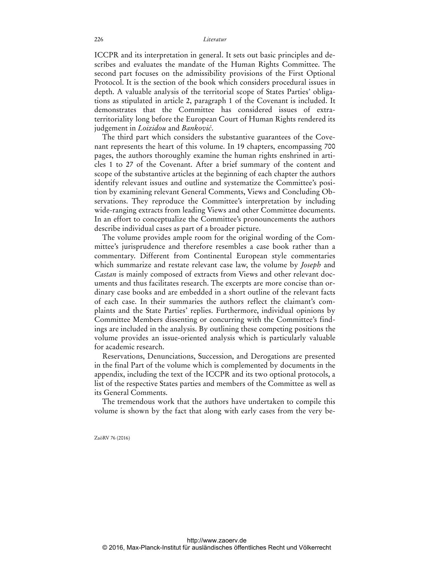ICCPR and its interpretation in general. It sets out basic principles and describes and evaluates the mandate of the Human Rights Committee. The second part focuses on the admissibility provisions of the First Optional Protocol. It is the section of the book which considers procedural issues in depth. A valuable analysis of the territorial scope of States Parties' obligations as stipulated in article 2, paragraph 1 of the Covenant is included. It demonstrates that the Committee has considered issues of extraterritoriality long before the European Court of Human Rights rendered its judgement in *Loizidou* and *Banković*.

The third part which considers the substantive guarantees of the Covenant represents the heart of this volume. In 19 chapters, encompassing 700 pages, the authors thoroughly examine the human rights enshrined in articles 1 to 27 of the Covenant. After a brief summary of the content and scope of the substantive articles at the beginning of each chapter the authors identify relevant issues and outline and systematize the Committee's position by examining relevant General Comments, Views and Concluding Observations. They reproduce the Committee's interpretation by including wide-ranging extracts from leading Views and other Committee documents. In an effort to conceptualize the Committee's pronouncements the authors describe individual cases as part of a broader picture.

The volume provides ample room for the original wording of the Committee's jurisprudence and therefore resembles a case book rather than a commentary. Different from Continental European style commentaries which summarize and restate relevant case law, the volume by *Joseph* and *Castan* is mainly composed of extracts from Views and other relevant documents and thus facilitates research. The excerpts are more concise than ordinary case books and are embedded in a short outline of the relevant facts of each case. In their summaries the authors reflect the claimant's complaints and the State Parties' replies. Furthermore, individual opinions by Committee Members dissenting or concurring with the Committee's findings are included in the analysis. By outlining these competing positions the volume provides an issue-oriented analysis which is particularly valuable for academic research.

Reservations, Denunciations, Succession, and Derogations are presented in the final Part of the volume which is complemented by documents in the appendix, including the text of the ICCPR and its two optional protocols, a list of the respective States parties and members of the Committee as well as its General Comments.

The tremendous work that the authors have undertaken to compile this volume is shown by the fact that along with early cases from the very be-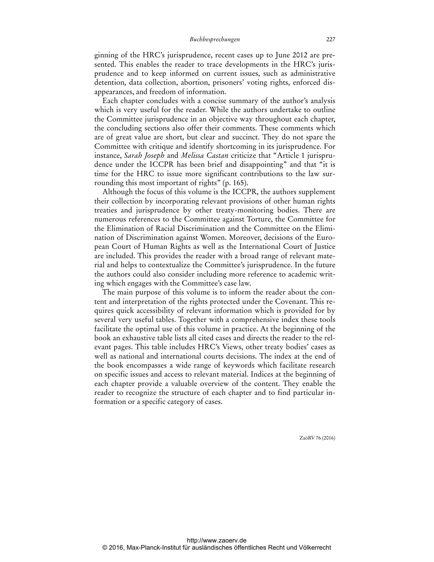ginning of the HRC's jurisprudence, recent cases up to June 2012 are presented. This enables the reader to trace developments in the HRC's jurisprudence and to keep informed on current issues, such as administrative detention, data collection, abortion, prisoners' voting rights, enforced disappearances, and freedom of information.

Each chapter concludes with a concise summary of the author's analysis which is very useful for the reader. While the authors undertake to outline the Committee jurisprudence in an objective way throughout each chapter, the concluding sections also offer their comments. These comments which are of great value are short, but clear and succinct. They do not spare the Committee with critique and identify shortcoming in its jurisprudence. For instance, *Sarah Joseph* and *Melissa Castan* criticize that "Article 1 jurisprudence under the ICCPR has been brief and disappointing" and that "it is time for the HRC to issue more significant contributions to the law surrounding this most important of rights" (p. 165).

Although the focus of this volume is the ICCPR, the authors supplement their collection by incorporating relevant provisions of other human rights treaties and jurisprudence by other treaty-monitoring bodies. There are numerous references to the Committee against Torture, the Committee for the Elimination of Racial Discrimination and the Committee on the Elimination of Discrimination against Women. Moreover, decisions of the European Court of Human Rights as well as the International Court of Justice are included. This provides the reader with a broad range of relevant material and helps to contextualize the Committee's jurisprudence. In the future the authors could also consider including more reference to academic writing which engages with the Committee's case law.

The main purpose of this volume is to inform the reader about the content and interpretation of the rights protected under the Covenant. This requires quick accessibility of relevant information which is provided for by several very useful tables. Together with a comprehensive index these tools facilitate the optimal use of this volume in practice. At the beginning of the book an exhaustive table lists all cited cases and directs the reader to the relevant pages. This table includes HRC's Views, other treaty bodies' cases as well as national and international courts decisions. The index at the end of the book encompasses a wide range of keywords which facilitate research on specific issues and access to relevant material. Indices at the beginning of each chapter provide a valuable overview of the content. They enable the reader to recognize the structure of each chapter and to find particular information or a specific category of cases.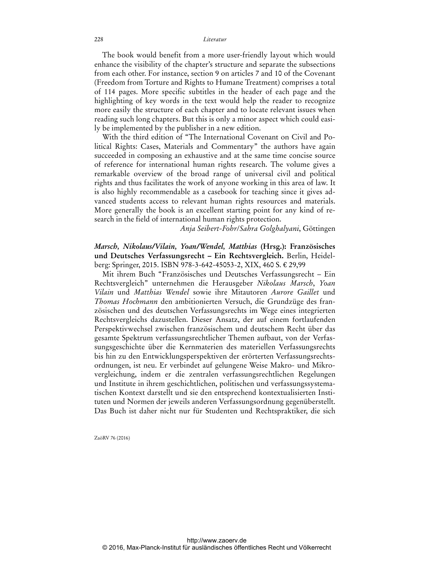The book would benefit from a more user-friendly layout which would enhance the visibility of the chapter's structure and separate the subsections from each other. For instance, section 9 on articles 7 and 10 of the Covenant (Freedom from Torture and Rights to Humane Treatment) comprises a total of 114 pages. More specific subtitles in the header of each page and the highlighting of key words in the text would help the reader to recognize more easily the structure of each chapter and to locate relevant issues when reading such long chapters. But this is only a minor aspect which could easily be implemented by the publisher in a new edition.

With the third edition of "The International Covenant on Civil and Political Rights: Cases, Materials and Commentary" the authors have again succeeded in composing an exhaustive and at the same time concise source of reference for international human rights research. The volume gives a remarkable overview of the broad range of universal civil and political rights and thus facilitates the work of anyone working in this area of law. It is also highly recommendable as a casebook for teaching since it gives advanced students access to relevant human rights resources and materials. More generally the book is an excellent starting point for any kind of research in the field of international human rights protection.

*Anja Seibert-Fohr*/*Sahra Golghalyani*, Göttingen

*Marsch, Nikolaus/Vilain, Yoan/Wendel, Matthias* **(Hrsg.): Französisches und Deutsches Verfassungsrecht – Ein Rechtsvergleich.** Berlin, Heidelberg: Springer, 2015. ISBN 978-3-642-45053-2, XIX, 460 S. € 29,99

Mit ihrem Buch "Französisches und Deutsches Verfassungsrecht – Ein Rechtsvergleich" unternehmen die Herausgeber *Nikolaus Marsch*, *Yoan Vilain* und *Matthias Wendel* sowie ihre Mitautoren *Aurore Gaillet* und *Thomas Hochmann* den ambitionierten Versuch, die Grundzüge des französischen und des deutschen Verfassungsrechts im Wege eines integrierten Rechtsvergleichs dazustellen. Dieser Ansatz, der auf einem fortlaufenden Perspektivwechsel zwischen französischem und deutschem Recht über das gesamte Spektrum verfassungsrechtlicher Themen aufbaut, von der Verfassungsgeschichte über die Kernmaterien des materiellen Verfassungsrechts bis hin zu den Entwicklungsperspektiven der erörterten Verfassungsrechtsordnungen, ist neu. Er verbindet auf gelungene Weise Makro- und Mikrovergleichung, indem er die zentralen verfassungsrechtlichen Regelungen und Institute in ihrem geschichtlichen, politischen und verfassungssystematischen Kontext darstellt und sie den entsprechend kontextualisierten Instituten und Normen der jeweils anderen Verfassungsordnung gegenüberstellt. Das Buch ist daher nicht nur für Studenten und Rechtspraktiker, die sich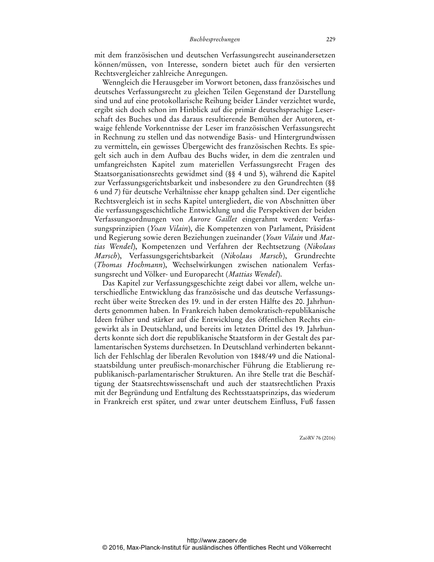mit dem französischen und deutschen Verfassungsrecht auseinandersetzen können/müssen, von Interesse, sondern bietet auch für den versierten Rechtsvergleicher zahlreiche Anregungen.

Wenngleich die Herausgeber im Vorwort betonen, dass französisches und deutsches Verfassungsrecht zu gleichen Teilen Gegenstand der Darstellung sind und auf eine protokollarische Reihung beider Länder verzichtet wurde, ergibt sich doch schon im Hinblick auf die primär deutschsprachige Leserschaft des Buches und das daraus resultierende Bemühen der Autoren, etwaige fehlende Vorkenntnisse der Leser im französischen Verfassungsrecht in Rechnung zu stellen und das notwendige Basis- und Hintergrundwissen zu vermitteln, ein gewisses Übergewicht des französischen Rechts. Es spiegelt sich auch in dem Aufbau des Buchs wider, in dem die zentralen und umfangreichsten Kapitel zum materiellen Verfassungsrecht Fragen des Staatsorganisationsrechts gewidmet sind (§§ 4 und 5), während die Kapitel zur Verfassungsgerichtsbarkeit und insbesondere zu den Grundrechten (§§ 6 und 7) für deutsche Verhältnisse eher knapp gehalten sind. Der eigentliche Rechtsvergleich ist in sechs Kapitel untergliedert, die von Abschnitten über die verfassungsgeschichtliche Entwicklung und die Perspektiven der beiden Verfassungsordnungen von *Aurore Gaillet* eingerahmt werden: Verfassungsprinzipien (*Yoan Vilain*), die Kompetenzen von Parlament, Präsident und Regierung sowie deren Beziehungen zueinander (*Yoan Vilain* und *Mattias Wendel*), Kompetenzen und Verfahren der Rechtsetzung (*Nikolaus Marsch*), Verfassungsgerichtsbarkeit (*Nikolaus Marsch*), Grundrechte (*Thomas Hochmann*), Wechselwirkungen zwischen nationalem Verfassungsrecht und Völker- und Europarecht (*Mattias Wendel*).

Das Kapitel zur Verfassungsgeschichte zeigt dabei vor allem, welche unterschiedliche Entwicklung das französische und das deutsche Verfassungsrecht über weite Strecken des 19. und in der ersten Hälfte des 20. Jahrhunderts genommen haben. In Frankreich haben demokratisch-republikanische Ideen früher und stärker auf die Entwicklung des öffentlichen Rechts eingewirkt als in Deutschland, und bereits im letzten Drittel des 19. Jahrhunderts konnte sich dort die republikanische Staatsform in der Gestalt des parlamentarischen Systems durchsetzen. In Deutschland verhinderten bekanntlich der Fehlschlag der liberalen Revolution von 1848/49 und die Nationalstaatsbildung unter preußisch-monarchischer Führung die Etablierung republikanisch-parlamentarischer Strukturen. An ihre Stelle trat die Beschäftigung der Staatsrechtswissenschaft und auch der staatsrechtlichen Praxis mit der Begründung und Entfaltung des Rechtsstaatsprinzips, das wiederum in Frankreich erst später, und zwar unter deutschem Einfluss, Fuß fassen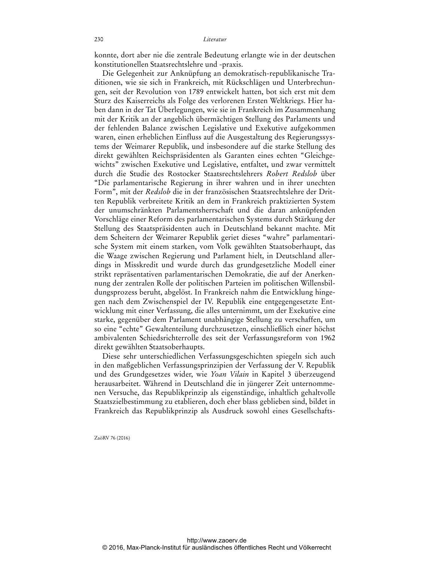konnte, dort aber nie die zentrale Bedeutung erlangte wie in der deutschen konstitutionellen Staatsrechtslehre und -praxis.

Die Gelegenheit zur Anknüpfung an demokratisch-republikanische Traditionen, wie sie sich in Frankreich, mit Rückschlägen und Unterbrechungen, seit der Revolution von 1789 entwickelt hatten, bot sich erst mit dem Sturz des Kaiserreichs als Folge des verlorenen Ersten Weltkriegs. Hier haben dann in der Tat Überlegungen, wie sie in Frankreich im Zusammenhang mit der Kritik an der angeblich übermächtigen Stellung des Parlaments und der fehlenden Balance zwischen Legislative und Exekutive aufgekommen waren, einen erheblichen Einfluss auf die Ausgestaltung des Regierungssystems der Weimarer Republik, und insbesondere auf die starke Stellung des direkt gewählten Reichspräsidenten als Garanten eines echten "Gleichgewichts" zwischen Exekutive und Legislative, entfaltet, und zwar vermittelt durch die Studie des Rostocker Staatsrechtslehrers *Robert Redslob* über "Die parlamentarische Regierung in ihrer wahren und in ihrer unechten Form", mit der *Redslob* die in der französischen Staatsrechtslehre der Dritten Republik verbreitete Kritik an dem in Frankreich praktizierten System der unumschränkten Parlamentsherrschaft und die daran anknüpfenden Vorschläge einer Reform des parlamentarischen Systems durch Stärkung der Stellung des Staatspräsidenten auch in Deutschland bekannt machte. Mit dem Scheitern der Weimarer Republik geriet dieses "wahre" parlamentarische System mit einem starken, vom Volk gewählten Staatsoberhaupt, das die Waage zwischen Regierung und Parlament hielt, in Deutschland allerdings in Misskredit und wurde durch das grundgesetzliche Modell einer strikt repräsentativen parlamentarischen Demokratie, die auf der Anerkennung der zentralen Rolle der politischen Parteien im politischen Willensbildungsprozess beruht, abgelöst. In Frankreich nahm die Entwicklung hingegen nach dem Zwischenspiel der IV. Republik eine entgegengesetzte Entwicklung mit einer Verfassung, die alles unternimmt, um der Exekutive eine starke, gegenüber dem Parlament unabhängige Stellung zu verschaffen, um so eine "echte" Gewaltenteilung durchzusetzen, einschließlich einer höchst ambivalenten Schiedsrichterrolle des seit der Verfassungsreform von 1962 direkt gewählten Staatsoberhaupts.

Diese sehr unterschiedlichen Verfassungsgeschichten spiegeln sich auch in den maßgeblichen Verfassungsprinzipien der Verfassung der V. Republik und des Grundgesetzes wider, wie *Yoan Vilain* in Kapitel 3 überzeugend herausarbeitet. Während in Deutschland die in jüngerer Zeit unternommenen Versuche, das Republikprinzip als eigenständige, inhaltlich gehaltvolle Staatszielbestimmung zu etablieren, doch eher blass geblieben sind, bildet in Frankreich das Republikprinzip als Ausdruck sowohl eines Gesellschafts-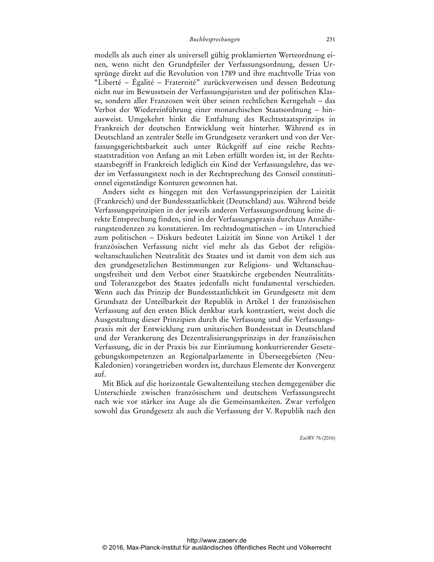modells als auch einer als universell gültig proklamierten Werteordnung einen, wenn nicht den Grundpfeiler der Verfassungsordnung, dessen Ursprünge direkt auf die Revolution von 1789 und ihre machtvolle Trias von "Liberté – Égalité – Fraternité" zurückverweisen und dessen Bedeutung nicht nur im Bewusstsein der Verfassungsjuristen und der politischen Klasse, sondern aller Franzosen weit über seinen rechtlichen Kerngehalt – das Verbot der Wiedereinführung einer monarchischen Staatsordnung – hinausweist. Umgekehrt hinkt die Entfaltung des Rechtsstaatsprinzips in Frankreich der deutschen Entwicklung weit hinterher. Während es in Deutschland an zentraler Stelle im Grundgesetz verankert und von der Verfassungsgerichtsbarkeit auch unter Rückgriff auf eine reiche Rechtsstaatstradition von Anfang an mit Leben erfüllt worden ist, ist der Rechtsstaatsbegriff in Frankreich lediglich ein Kind der Verfassungslehre, das weder im Verfassungstext noch in der Rechtsprechung des Conseil constitutionnel eigenständige Konturen gewonnen hat.

Anders sieht es hingegen mit den Verfassungsprinzipien der Laizität (Frankreich) und der Bundesstaatlichkeit (Deutschland) aus. Während beide Verfassungsprinzipien in der jeweils anderen Verfassungsordnung keine direkte Entsprechung finden, sind in der Verfassungspraxis durchaus Annäherungstendenzen zu konstatieren. Im rechtsdogmatischen – im Unterschied zum politischen – Diskurs bedeutet Laizität im Sinne von Artikel 1 der französischen Verfassung nicht viel mehr als das Gebot der religiösweltanschaulichen Neutralität des Staates und ist damit von dem sich aus den grundgesetzlichen Bestimmungen zur Religions- und Weltanschauungsfreiheit und dem Verbot einer Staatskirche ergebenden Neutralitätsund Toleranzgebot des Staates jedenfalls nicht fundamental verschieden. Wenn auch das Prinzip der Bundesstaatlichkeit im Grundgesetz mit dem Grundsatz der Unteilbarkeit der Republik in Artikel 1 der französischen Verfassung auf den ersten Blick denkbar stark kontrastiert, weist doch die Ausgestaltung dieser Prinzipien durch die Verfassung und die Verfassungspraxis mit der Entwicklung zum unitarischen Bundesstaat in Deutschland und der Verankerung des Dezentralisierungsprinzips in der französischen Verfassung, die in der Praxis bis zur Einräumung konkurrierender Gesetzgebungskompetenzen an Regionalparlamente in Überseegebieten (Neu-Kaledonien) vorangetrieben worden ist, durchaus Elemente der Konvergenz auf.

Mit Blick auf die horizontale Gewaltenteilung stechen demgegenüber die Unterschiede zwischen französischem und deutschem Verfassungsrecht nach wie vor stärker ins Auge als die Gemeinsamkeiten. Zwar verfolgen sowohl das Grundgesetz als auch die Verfassung der V. Republik nach den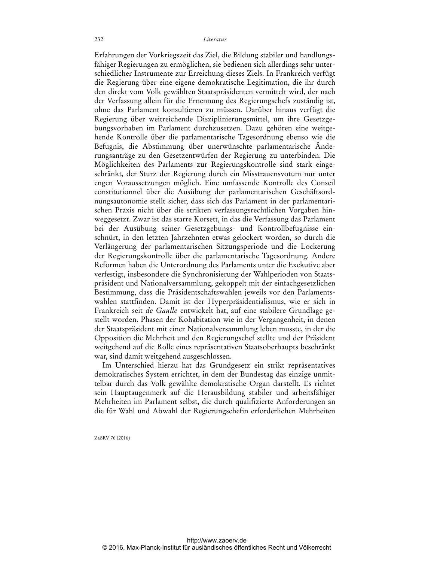Erfahrungen der Vorkriegszeit das Ziel, die Bildung stabiler und handlungsfähiger Regierungen zu ermöglichen, sie bedienen sich allerdings sehr unterschiedlicher Instrumente zur Erreichung dieses Ziels. In Frankreich verfügt die Regierung über eine eigene demokratische Legitimation, die ihr durch den direkt vom Volk gewählten Staatspräsidenten vermittelt wird, der nach der Verfassung allein für die Ernennung des Regierungschefs zuständig ist, ohne das Parlament konsultieren zu müssen. Darüber hinaus verfügt die Regierung über weitreichende Disziplinierungsmittel, um ihre Gesetzgebungsvorhaben im Parlament durchzusetzen. Dazu gehören eine weitgehende Kontrolle über die parlamentarische Tagesordnung ebenso wie die Befugnis, die Abstimmung über unerwünschte parlamentarische Änderungsanträge zu den Gesetzentwürfen der Regierung zu unterbinden. Die Möglichkeiten des Parlaments zur Regierungskontrolle sind stark eingeschränkt, der Sturz der Regierung durch ein Misstrauensvotum nur unter engen Voraussetzungen möglich. Eine umfassende Kontrolle des Conseil constitutionnel über die Ausübung der parlamentarischen Geschäftsordnungsautonomie stellt sicher, dass sich das Parlament in der parlamentarischen Praxis nicht über die strikten verfassungsrechtlichen Vorgaben hinweggesetzt. Zwar ist das starre Korsett, in das die Verfassung das Parlament bei der Ausübung seiner Gesetzgebungs- und Kontrollbefugnisse einschnürt, in den letzten Jahrzehnten etwas gelockert worden, so durch die Verlängerung der parlamentarischen Sitzungsperiode und die Lockerung der Regierungskontrolle über die parlamentarische Tagesordnung. Andere Reformen haben die Unterordnung des Parlaments unter die Exekutive aber verfestigt, insbesondere die Synchronisierung der Wahlperioden von Staatspräsident und Nationalversammlung, gekoppelt mit der einfachgesetzlichen Bestimmung, dass die Präsidentschaftswahlen jeweils vor den Parlamentswahlen stattfinden. Damit ist der Hyperpräsidentialismus, wie er sich in Frankreich seit *de Gaulle* entwickelt hat, auf eine stabilere Grundlage gestellt worden. Phasen der Kohabitation wie in der Vergangenheit, in denen der Staatspräsident mit einer Nationalversammlung leben musste, in der die Opposition die Mehrheit und den Regierungschef stellte und der Präsident weitgehend auf die Rolle eines repräsentativen Staatsoberhaupts beschränkt war, sind damit weitgehend ausgeschlossen.

Im Unterschied hierzu hat das Grundgesetz ein strikt repräsentatives demokratisches System errichtet, in dem der Bundestag das einzige unmittelbar durch das Volk gewählte demokratische Organ darstellt. Es richtet sein Hauptaugenmerk auf die Herausbildung stabiler und arbeitsfähiger Mehrheiten im Parlament selbst, die durch qualifizierte Anforderungen an die für Wahl und Abwahl der Regierungschefin erforderlichen Mehrheiten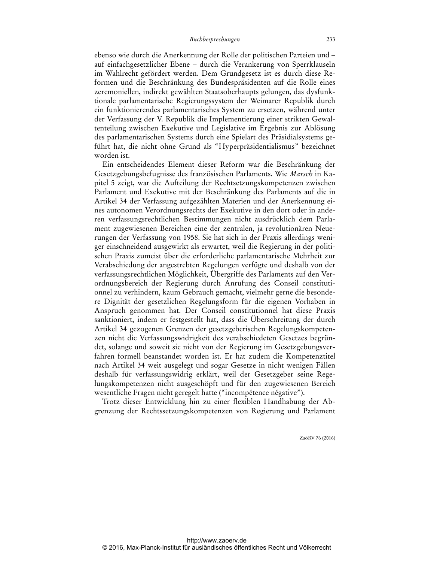ebenso wie durch die Anerkennung der Rolle der politischen Parteien und – auf einfachgesetzlicher Ebene – durch die Verankerung von Sperrklauseln im Wahlrecht gefördert werden. Dem Grundgesetz ist es durch diese Reformen und die Beschränkung des Bundespräsidenten auf die Rolle eines zeremoniellen, indirekt gewählten Staatsoberhaupts gelungen, das dysfunktionale parlamentarische Regierungssystem der Weimarer Republik durch ein funktionierendes parlamentarisches System zu ersetzen, während unter der Verfassung der V. Republik die Implementierung einer strikten Gewaltenteilung zwischen Exekutive und Legislative im Ergebnis zur Ablösung des parlamentarischen Systems durch eine Spielart des Präsidialsystems geführt hat, die nicht ohne Grund als "Hyperpräsidentialismus" bezeichnet worden ist.

Ein entscheidendes Element dieser Reform war die Beschränkung der Gesetzgebungsbefugnisse des französischen Parlaments. Wie *Marsch* in Kapitel 5 zeigt, war die Aufteilung der Rechtsetzungskompetenzen zwischen Parlament und Exekutive mit der Beschränkung des Parlaments auf die in Artikel 34 der Verfassung aufgezählten Materien und der Anerkennung eines autonomen Verordnungsrechts der Exekutive in den dort oder in anderen verfassungsrechtlichen Bestimmungen nicht ausdrücklich dem Parlament zugewiesenen Bereichen eine der zentralen, ja revolutionären Neuerungen der Verfassung von 1958. Sie hat sich in der Praxis allerdings weniger einschneidend ausgewirkt als erwartet, weil die Regierung in der politischen Praxis zumeist über die erforderliche parlamentarische Mehrheit zur Verabschiedung der angestrebten Regelungen verfügte und deshalb von der verfassungsrechtlichen Möglichkeit, Übergriffe des Parlaments auf den Verordnungsbereich der Regierung durch Anrufung des Conseil constitutionnel zu verhindern, kaum Gebrauch gemacht, vielmehr gerne die besondere Dignität der gesetzlichen Regelungsform für die eigenen Vorhaben in Anspruch genommen hat. Der Conseil constitutionnel hat diese Praxis sanktioniert, indem er festgestellt hat, dass die Überschreitung der durch Artikel 34 gezogenen Grenzen der gesetzgeberischen Regelungskompetenzen nicht die Verfassungswidrigkeit des verabschiedeten Gesetzes begründet, solange und soweit sie nicht von der Regierung im Gesetzgebungsverfahren formell beanstandet worden ist. Er hat zudem die Kompetenztitel nach Artikel 34 weit ausgelegt und sogar Gesetze in nicht wenigen Fällen deshalb für verfassungswidrig erklärt, weil der Gesetzgeber seine Regelungskompetenzen nicht ausgeschöpft und für den zugewiesenen Bereich wesentliche Fragen nicht geregelt hatte ("incompétence négative").

Trotz dieser Entwicklung hin zu einer flexiblen Handhabung der Abgrenzung der Rechtssetzungskompetenzen von Regierung und Parlament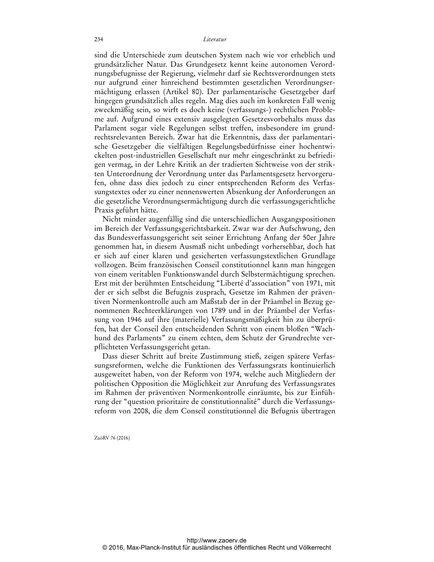sind die Unterschiede zum deutschen System nach wie vor erheblich und grundsätzlicher Natur. Das Grundgesetz kennt keine autonomen Verordnungsbefugnisse der Regierung, vielmehr darf sie Rechtsverordnungen stets nur aufgrund einer hinreichend bestimmten gesetzlichen Verordnungsermächtigung erlassen (Artikel 80). Der parlamentarische Gesetzgeber darf hingegen grundsätzlich alles regeln. Mag dies auch im konkreten Fall wenig zweckmäßig sein, so wirft es doch keine (verfassungs-) rechtlichen Probleme auf. Aufgrund eines extensiv ausgelegten Gesetzesvorbehalts muss das Parlament sogar viele Regelungen selbst treffen, insbesondere im grundrechtsrelevanten Bereich. Zwar hat die Erkenntnis, dass der parlamentarische Gesetzgeber die vielfältigen Regelungsbedürfnisse einer hochentwickelten post-industriellen Gesellschaft nur mehr eingeschränkt zu befriedigen vermag, in der Lehre Kritik an der tradierten Sichtweise von der strikten Unterordnung der Verordnung unter das Parlamentsgesetz hervorgerufen, ohne dass dies jedoch zu einer entsprechenden Reform des Verfassungstextes oder zu einer nennenswerten Absenkung der Anforderungen an die gesetzliche Verordnungsermächtigung durch die verfassungsgerichtliche Praxis geführt hätte.

Nicht minder augenfällig sind die unterschiedlichen Ausgangspositionen im Bereich der Verfassungsgerichtsbarkeit. Zwar war der Aufschwung, den das Bundesverfassungsgericht seit seiner Errichtung Anfang der 50er Jahre genommen hat, in diesem Ausmaß nicht unbedingt vorhersehbar, doch hat er sich auf einer klaren und gesicherten verfassungstextlichen Grundlage vollzogen. Beim französischen Conseil constitutionnel kann man hingegen von einem veritablen Funktionswandel durch Selbstermächtigung sprechen. Erst mit der berühmten Entscheidung "Liberté d'association" von 1971, mit der er sich selbst die Befugnis zusprach, Gesetze im Rahmen der präventiven Normenkontrolle auch am Maßstab der in der Präambel in Bezug genommenen Rechteerklärungen von 1789 und in der Präambel der Verfassung von 1946 auf ihre (materielle) Verfassungsmäßigkeit hin zu überprüfen, hat der Conseil den entscheidenden Schritt von einem bloßen "Wachhund des Parlaments" zu einem echten, dem Schutz der Grundrechte verpflichteten Verfassungsgericht getan.

Dass dieser Schritt auf breite Zustimmung stieß, zeigen spätere Verfassungsreformen, welche die Funktionen des Verfassungsrats kontinuierlich ausgeweitet haben, von der Reform von 1974, welche auch Mitgliedern der politischen Opposition die Möglichkeit zur Anrufung des Verfassungsrates im Rahmen der präventiven Normenkontrolle einräumte, bis zur Einführung der "question prioritaire de constitutionnalité" durch die Verfassungsreform von 2008, die dem Conseil constitutionnel die Befugnis übertragen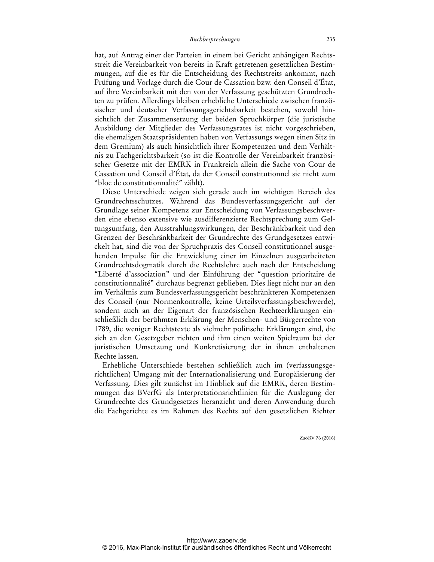hat, auf Antrag einer der Parteien in einem bei Gericht anhängigen Rechtsstreit die Vereinbarkeit von bereits in Kraft getretenen gesetzlichen Bestimmungen, auf die es für die Entscheidung des Rechtstreits ankommt, nach Prüfung und Vorlage durch die Cour de Cassation bzw. den Conseil d'État, auf ihre Vereinbarkeit mit den von der Verfassung geschützten Grundrechten zu prüfen. Allerdings bleiben erhebliche Unterschiede zwischen französischer und deutscher Verfassungsgerichtsbarkeit bestehen, sowohl hinsichtlich der Zusammensetzung der beiden Spruchkörper (die juristische Ausbildung der Mitglieder des Verfassungsrates ist nicht vorgeschrieben, die ehemaligen Staatspräsidenten haben von Verfassungs wegen einen Sitz in dem Gremium) als auch hinsichtlich ihrer Kompetenzen und dem Verhältnis zu Fachgerichtsbarkeit (so ist die Kontrolle der Vereinbarkeit französischer Gesetze mit der EMRK in Frankreich allein die Sache von Cour de Cassation und Conseil d'État, da der Conseil constitutionnel sie nicht zum "bloc de constitutionnalité" zählt).

Diese Unterschiede zeigen sich gerade auch im wichtigen Bereich des Grundrechtsschutzes. Während das Bundesverfassungsgericht auf der Grundlage seiner Kompetenz zur Entscheidung von Verfassungsbeschwerden eine ebenso extensive wie ausdifferenzierte Rechtsprechung zum Geltungsumfang, den Ausstrahlungswirkungen, der Beschränkbarkeit und den Grenzen der Beschränkbarkeit der Grundrechte des Grundgesetzes entwickelt hat, sind die von der Spruchpraxis des Conseil constitutionnel ausgehenden Impulse für die Entwicklung einer im Einzelnen ausgearbeiteten Grundrechtsdogmatik durch die Rechtslehre auch nach der Entscheidung "Liberté d'association" und der Einführung der "question prioritaire de constitutionnalité" durchaus begrenzt geblieben. Dies liegt nicht nur an den im Verhältnis zum Bundesverfassungsgericht beschränkteren Kompetenzen des Conseil (nur Normenkontrolle, keine Urteilsverfassungsbeschwerde), sondern auch an der Eigenart der französischen Rechteerklärungen einschließlich der berühmten Erklärung der Menschen- und Bürgerrechte von 1789, die weniger Rechtstexte als vielmehr politische Erklärungen sind, die sich an den Gesetzgeber richten und ihm einen weiten Spielraum bei der juristischen Umsetzung und Konkretisierung der in ihnen enthaltenen Rechte lassen.

Erhebliche Unterschiede bestehen schließlich auch im (verfassungsgerichtlichen) Umgang mit der Internationalisierung und Europäisierung der Verfassung. Dies gilt zunächst im Hinblick auf die EMRK, deren Bestimmungen das BVerfG als Interpretationsrichtlinien für die Auslegung der Grundrechte des Grundgesetzes heranzieht und deren Anwendung durch die Fachgerichte es im Rahmen des Rechts auf den gesetzlichen Richter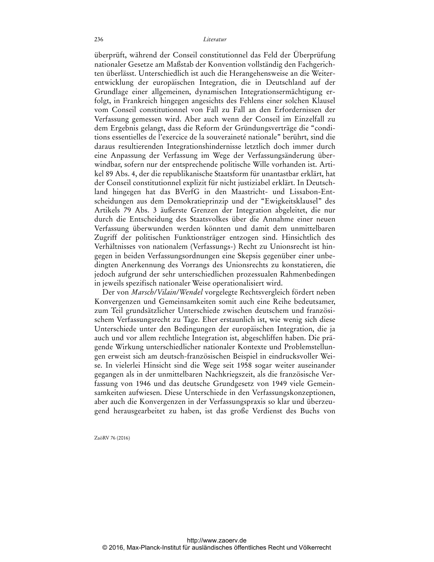überprüft, während der Conseil constitutionnel das Feld der Überprüfung nationaler Gesetze am Maßstab der Konvention vollständig den Fachgerichten überlässt. Unterschiedlich ist auch die Herangehensweise an die Weiterentwicklung der europäischen Integration, die in Deutschland auf der Grundlage einer allgemeinen, dynamischen Integrationsermächtigung erfolgt, in Frankreich hingegen angesichts des Fehlens einer solchen Klausel vom Conseil constitutionnel von Fall zu Fall an den Erfordernissen der Verfassung gemessen wird. Aber auch wenn der Conseil im Einzelfall zu dem Ergebnis gelangt, dass die Reform der Gründungsverträge die "conditions essentielles de l'exercice de la souveraineté nationale" berührt, sind die daraus resultierenden Integrationshindernisse letztlich doch immer durch eine Anpassung der Verfassung im Wege der Verfassungsänderung überwindbar, sofern nur der entsprechende politische Wille vorhanden ist. Artikel 89 Abs. 4, der die republikanische Staatsform für unantastbar erklärt, hat der Conseil constitutionnel explizit für nicht justiziabel erklärt. In Deutschland hingegen hat das BVerfG in den Maastricht- und Lissabon-Entscheidungen aus dem Demokratieprinzip und der "Ewigkeitsklausel" des Artikels 79 Abs. 3 äußerste Grenzen der Integration abgeleitet, die nur durch die Entscheidung des Staatsvolkes über die Annahme einer neuen Verfassung überwunden werden könnten und damit dem unmittelbaren Zugriff der politischen Funktionsträger entzogen sind. Hinsichtlich des Verhältnisses von nationalem (Verfassungs-) Recht zu Unionsrecht ist hingegen in beiden Verfassungsordnungen eine Skepsis gegenüber einer unbedingten Anerkennung des Vorrangs des Unionsrechts zu konstatieren, die jedoch aufgrund der sehr unterschiedlichen prozessualen Rahmenbedingen in jeweils spezifisch nationaler Weise operationalisiert wird.

Der von *Marsch/Vilain/Wendel* vorgelegte Rechtsvergleich fördert neben Konvergenzen und Gemeinsamkeiten somit auch eine Reihe bedeutsamer, zum Teil grundsätzlicher Unterschiede zwischen deutschem und französischem Verfassungsrecht zu Tage. Eher erstaunlich ist, wie wenig sich diese Unterschiede unter den Bedingungen der europäischen Integration, die ja auch und vor allem rechtliche Integration ist, abgeschliffen haben. Die prägende Wirkung unterschiedlicher nationaler Kontexte und Problemstellungen erweist sich am deutsch-französischen Beispiel in eindrucksvoller Weise. In vielerlei Hinsicht sind die Wege seit 1958 sogar weiter auseinander gegangen als in der unmittelbaren Nachkriegszeit, als die französische Verfassung von 1946 und das deutsche Grundgesetz von 1949 viele Gemeinsamkeiten aufwiesen. Diese Unterschiede in den Verfassungskonzeptionen, aber auch die Konvergenzen in der Verfassungspraxis so klar und überzeugend herausgearbeitet zu haben, ist das große Verdienst des Buchs von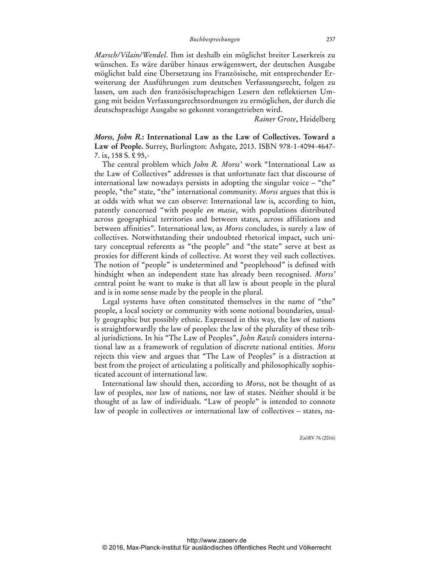*Marsch/Vilain/Wendel*. Ihm ist deshalb ein möglichst breiter Leserkreis zu wünschen. Es wäre darüber hinaus erwägenswert, der deutschen Ausgabe möglichst bald eine Übersetzung ins Französische, mit entsprechender Erweiterung der Ausführungen zum deutschen Verfassungsrecht, folgen zu lassen, um auch den französischsprachigen Lesern den reflektierten Umgang mit beiden Verfassungsrechtsordnungen zu ermöglichen, der durch die deutschsprachige Ausgabe so gekonnt vorangetrieben wird.

*Rainer Grote*, Heidelberg

*Morss, John R.***: International Law as the Law of Collectives. Toward a Law of People.** Surrey, Burlington: Ashgate, 2013. ISBN 978-1-4094-4647- 7. ix, 158 S. £ 95,-

The central problem which *John R. Morss'* work "International Law as the Law of Collectives" addresses is that unfortunate fact that discourse of international law nowadays persists in adopting the singular voice – "the" people, "the" state, "the" international community. *Morss* argues that this is at odds with what we can observe: International law is, according to him, patently concerned "with people *en masse*, with populations distributed across geographical territories and between states, across affiliations and between affinities". International law, as *Morss* concludes, is surely a law of collectives. Notwithstanding their undoubted rhetorical impact, such unitary conceptual referents as "the people" and "the state" serve at best as proxies for different kinds of collective. At worst they veil such collectives. The notion of "people" is undetermined and "peoplehood" is defined with hindsight when an independent state has already been recognised. *Morss'*  central point he want to make is that all law is about people in the plural and is in some sense made by the people in the plural.

Legal systems have often constituted themselves in the name of "the" people, a local society or community with some notional boundaries, usually geographic but possibly ethnic. Expressed in this way, the law of nations is straightforwardly the law of peoples: the law of the plurality of these tribal jurisdictions. In his "The Law of Peoples", *John Rawls* considers international law as a framework of regulation of discrete national entities. *Morss* rejects this view and argues that "The Law of Peoples" is a distraction at best from the project of articulating a politically and philosophically sophisticated account of international law.

International law should then, according to *Morss*, not be thought of as law of peoples, nor law of nations, nor law of states. Neither should it be thought of as law of individuals. "Law of people" is intended to connote law of people in collectives or international law of collectives – states, na-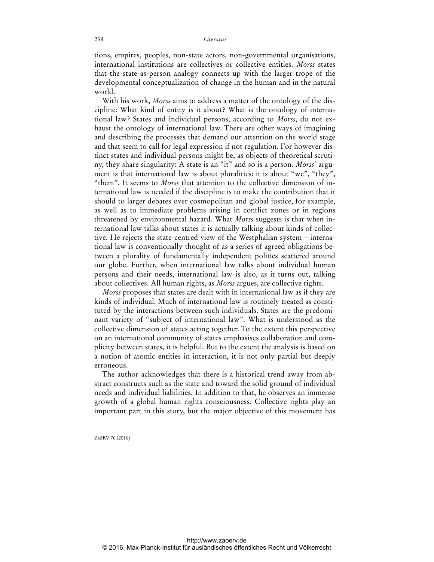tions, empires, peoples, non-state actors, non-governmental organisations, international institutions are collectives or collective entities. *Morss* states that the state-as-person analogy connects up with the larger trope of the developmental conceptualization of change in the human and in the natural world.

With his work, *Morss* aims to address a matter of the ontology of the discipline: What kind of entity is it about? What is the ontology of international law? States and individual persons, according to *Morss*, do not exhaust the ontology of international law. There are other ways of imagining and describing the processes that demand our attention on the world stage and that seem to call for legal expression if not regulation. For however distinct states and individual persons might be, as objects of theoretical scrutiny, they share singularity: A state is an "it" and so is a person. *Morss'* argument is that international law is about pluralities: it is about "we", "they", "them". It seems to *Morss* that attention to the collective dimension of international law is needed if the discipline is to make the contribution that it should to larger debates over cosmopolitan and global justice, for example, as well as to immediate problems arising in conflict zones or in regions threatened by environmental hazard. What *Morss* suggests is that when international law talks about states it is actually talking about kinds of collective. He rejects the state-centred view of the Westphalian system – international law is conventionally thought of as a series of agreed obligations between a plurality of fundamentally independent polities scattered around our globe. Further, when international law talks about individual human persons and their needs, international law is also, as it turns out, talking about collectives. All human rights, as *Morss* argues, are collective rights.

*Morss* proposes that states are dealt with in international law as if they are kinds of individual. Much of international law is routinely treated as constituted by the interactions between such individuals. States are the predominant variety of "subject of international law". What is understood as the collective dimension of states acting together. To the extent this perspective on an international community of states emphasises collaboration and complicity between states, it is helpful. But to the extent the analysis is based on a notion of atomic entities in interaction, it is not only partial but deeply erroneous.

The author acknowledges that there is a historical trend away from abstract constructs such as the state and toward the solid ground of individual needs and individual liabilities. In addition to that, he observes an immense growth of a global human rights consciousness. Collective rights play an important part in this story, but the major objective of this movement has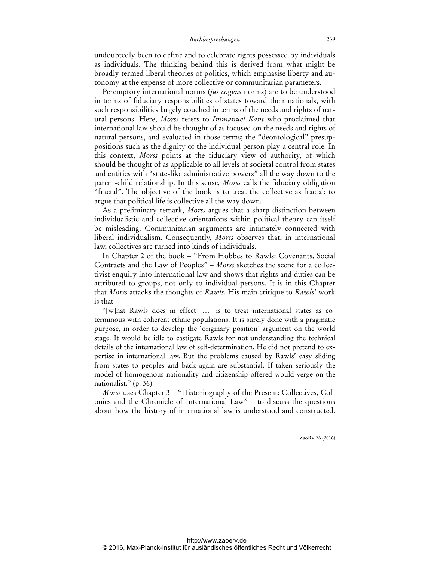undoubtedly been to define and to celebrate rights possessed by individuals as individuals. The thinking behind this is derived from what might be broadly termed liberal theories of politics, which emphasise liberty and autonomy at the expense of more collective or communitarian parameters.

Peremptory international norms (*jus cogens* norms) are to be understood in terms of fiduciary responsibilities of states toward their nationals, with such responsibilities largely couched in terms of the needs and rights of natural persons. Here, *Morss* refers to *Immanuel Kant* who proclaimed that international law should be thought of as focused on the needs and rights of natural persons, and evaluated in those terms; the "deontological" presuppositions such as the dignity of the individual person play a central role. In this context, *Morss* points at the fiduciary view of authority, of which should be thought of as applicable to all levels of societal control from states and entities with "state-like administrative powers" all the way down to the parent-child relationship. In this sense, *Morss* calls the fiduciary obligation "fractal". The objective of the book is to treat the collective as fractal: to argue that political life is collective all the way down.

As a preliminary remark, *Morss* argues that a sharp distinction between individualistic and collective orientations within political theory can itself be misleading. Communitarian arguments are intimately connected with liberal individualism. Consequently, *Morss* observes that, in international law, collectives are turned into kinds of individuals.

In Chapter 2 of the book – "From Hobbes to Rawls: Covenants, Social Contracts and the Law of Peoples" – *Morss* sketches the scene for a collectivist enquiry into international law and shows that rights and duties can be attributed to groups, not only to individual persons. It is in this Chapter that *Morss* attacks the thoughts of *Rawls*. His main critique to *Rawls'* work is that

"[w]hat Rawls does in effect […] is to treat international states as coterminous with coherent ethnic populations. It is surely done with a pragmatic purpose, in order to develop the 'originary position' argument on the world stage. It would be idle to castigate Rawls for not understanding the technical details of the international law of self-determination. He did not pretend to expertise in international law. But the problems caused by Rawls' easy sliding from states to peoples and back again are substantial. If taken seriously the model of homogenous nationality and citizenship offered would verge on the nationalist." (p. 36)

*Morss* uses Chapter 3 – "Historiography of the Present: Collectives, Colonies and the Chronicle of International Law" – to discuss the questions about how the history of international law is understood and constructed.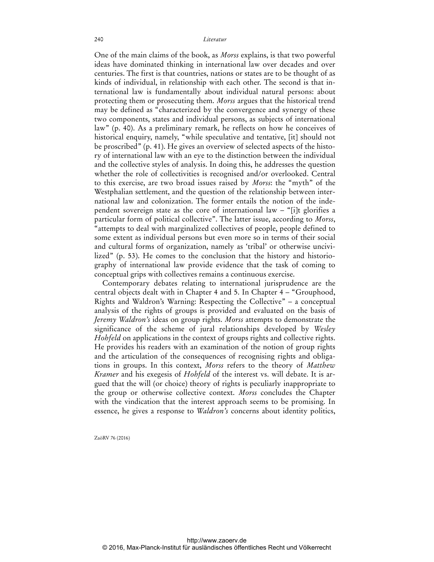One of the main claims of the book, as *Morss* explains, is that two powerful ideas have dominated thinking in international law over decades and over centuries. The first is that countries, nations or states are to be thought of as kinds of individual, in relationship with each other. The second is that international law is fundamentally about individual natural persons: about protecting them or prosecuting them. *Morss* argues that the historical trend may be defined as "characterized by the convergence and synergy of these two components, states and individual persons, as subjects of international law" (p. 40). As a preliminary remark, he reflects on how he conceives of historical enquiry, namely, "while speculative and tentative, [it] should not be proscribed" (p. 41). He gives an overview of selected aspects of the history of international law with an eye to the distinction between the individual and the collective styles of analysis. In doing this, he addresses the question whether the role of collectivities is recognised and/or overlooked. Central to this exercise, are two broad issues raised by *Morss*: the "myth" of the Westphalian settlement, and the question of the relationship between international law and colonization. The former entails the notion of the independent sovereign state as the core of international law – "[i]t glorifies a particular form of political collective". The latter issue, according to *Morss*, "attempts to deal with marginalized collectives of people, people defined to some extent as individual persons but even more so in terms of their social and cultural forms of organization, namely as 'tribal' or otherwise uncivilized" (p. 53). He comes to the conclusion that the history and historiography of international law provide evidence that the task of coming to conceptual grips with collectives remains a continuous exercise.

Contemporary debates relating to international jurisprudence are the central objects dealt with in Chapter 4 and 5. In Chapter 4 – "Grouphood, Rights and Waldron's Warning: Respecting the Collective" – a conceptual analysis of the rights of groups is provided and evaluated on the basis of *Jeremy Waldron's* ideas on group rights. *Morss* attempts to demonstrate the significance of the scheme of jural relationships developed by *Wesley Hohfeld* on applications in the context of groups rights and collective rights. He provides his readers with an examination of the notion of group rights and the articulation of the consequences of recognising rights and obligations in groups. In this context, *Morss* refers to the theory of *Matthew Kramer* and his exegesis of *Hohfeld* of the interest vs. will debate. It is argued that the will (or choice) theory of rights is peculiarly inappropriate to the group or otherwise collective context. *Morss* concludes the Chapter with the vindication that the interest approach seems to be promising. In essence, he gives a response to *Waldron's* concerns about identity politics,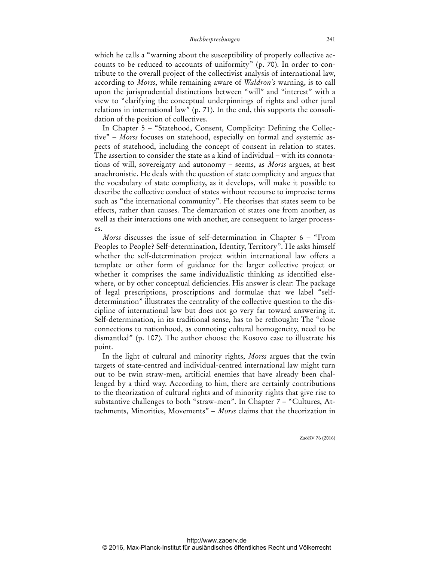which he calls a "warning about the susceptibility of properly collective accounts to be reduced to accounts of uniformity" (p. 70). In order to contribute to the overall project of the collectivist analysis of international law, according to *Morss*, while remaining aware of *Waldron's* warning, is to call upon the jurisprudential distinctions between "will" and "interest" with a view to "clarifying the conceptual underpinnings of rights and other jural relations in international law" (p. 71). In the end, this supports the consolidation of the position of collectives.

In Chapter 5 – "Statehood, Consent, Complicity: Defining the Collective" – *Morss* focuses on statehood, especially on formal and systemic aspects of statehood, including the concept of consent in relation to states. The assertion to consider the state as a kind of individual – with its connotations of will, sovereignty and autonomy – seems, as *Morss* argues, at best anachronistic. He deals with the question of state complicity and argues that the vocabulary of state complicity, as it develops, will make it possible to describe the collective conduct of states without recourse to imprecise terms such as "the international community". He theorises that states seem to be effects, rather than causes. The demarcation of states one from another, as well as their interactions one with another, are consequent to larger processes.

*Morss* discusses the issue of self-determination in Chapter 6 – "From Peoples to People? Self-determination, Identity, Territory". He asks himself whether the self-determination project within international law offers a template or other form of guidance for the larger collective project or whether it comprises the same individualistic thinking as identified elsewhere, or by other conceptual deficiencies. His answer is clear: The package of legal prescriptions, proscriptions and formulae that we label "selfdetermination" illustrates the centrality of the collective question to the discipline of international law but does not go very far toward answering it. Self-determination, in its traditional sense, has to be rethought: The "close connections to nationhood, as connoting cultural homogeneity, need to be dismantled" (p. 107). The author choose the Kosovo case to illustrate his point.

In the light of cultural and minority rights, *Morss* argues that the twin targets of state-centred and individual-centred international law might turn out to be twin straw-men, artificial enemies that have already been challenged by a third way. According to him, there are certainly contributions to the theorization of cultural rights and of minority rights that give rise to substantive challenges to both "straw-men". In Chapter 7 – "Cultures, Attachments, Minorities, Movements" – *Morss* claims that the theorization in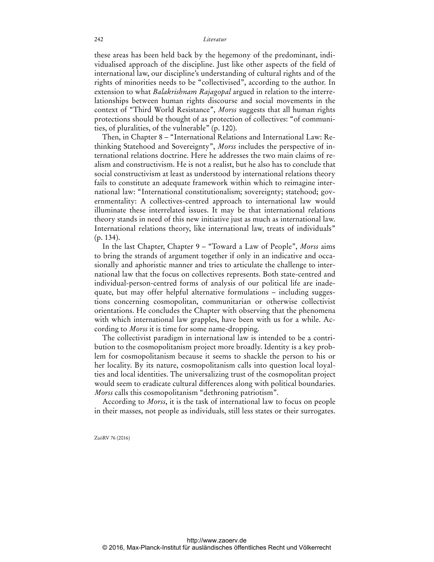these areas has been held back by the hegemony of the predominant, individualised approach of the discipline. Just like other aspects of the field of international law, our discipline's understanding of cultural rights and of the rights of minorities needs to be "collectivised", according to the author. In extension to what *Balakrishnam Rajagopal* argued in relation to the interrelationships between human rights discourse and social movements in the context of "Third World Resistance", *Morss* suggests that all human rights protections should be thought of as protection of collectives: "of communities, of pluralities, of the vulnerable" (p. 120).

Then, in Chapter 8 – "International Relations and International Law: Rethinking Statehood and Sovereignty", *Morss* includes the perspective of international relations doctrine. Here he addresses the two main claims of realism and constructivism. He is not a realist, but he also has to conclude that social constructivism at least as understood by international relations theory fails to constitute an adequate framework within which to reimagine international law: "International constitutionalism; sovereignty; statehood; governmentality: A collectives-centred approach to international law would illuminate these interrelated issues. It may be that international relations theory stands in need of this new initiative just as much as international law. International relations theory, like international law, treats of individuals" (p. 134).

In the last Chapter, Chapter 9 – "Toward a Law of People", *Morss* aims to bring the strands of argument together if only in an indicative and occasionally and aphoristic manner and tries to articulate the challenge to international law that the focus on collectives represents. Both state-centred and individual-person-centred forms of analysis of our political life are inadequate, but may offer helpful alternative formulations – including suggestions concerning cosmopolitan, communitarian or otherwise collectivist orientations. He concludes the Chapter with observing that the phenomena with which international law grapples, have been with us for a while. According to *Morss* it is time for some name-dropping.

The collectivist paradigm in international law is intended to be a contribution to the cosmopolitanism project more broadly. Identity is a key problem for cosmopolitanism because it seems to shackle the person to his or her locality. By its nature, cosmopolitanism calls into question local loyalties and local identities. The universalizing trust of the cosmopolitan project would seem to eradicate cultural differences along with political boundaries. *Morss* calls this cosmopolitanism "dethroning patriotism".

According to *Morss*, it is the task of international law to focus on people in their masses, not people as individuals, still less states or their surrogates.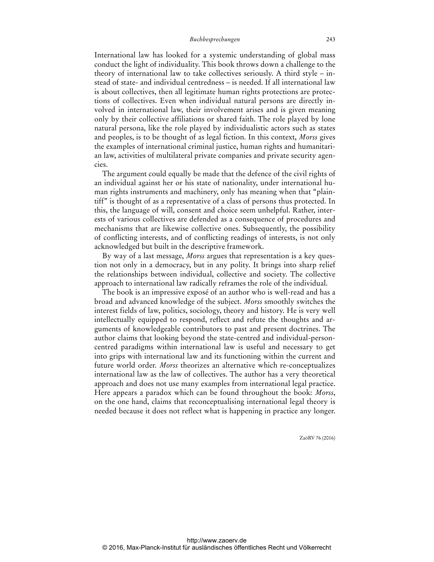International law has looked for a systemic understanding of global mass conduct the light of individuality. This book throws down a challenge to the theory of international law to take collectives seriously. A third style – instead of state- and individual centredness – is needed. If all international law is about collectives, then all legitimate human rights protections are protections of collectives. Even when individual natural persons are directly involved in international law, their involvement arises and is given meaning only by their collective affiliations or shared faith. The role played by lone natural persona, like the role played by individualistic actors such as states and peoples, is to be thought of as legal fiction. In this context, *Morss* gives the examples of international criminal justice, human rights and humanitarian law, activities of multilateral private companies and private security agencies.

The argument could equally be made that the defence of the civil rights of an individual against her or his state of nationality, under international human rights instruments and machinery, only has meaning when that "plaintiff" is thought of as a representative of a class of persons thus protected. In this, the language of will, consent and choice seem unhelpful. Rather, interests of various collectives are defended as a consequence of procedures and mechanisms that are likewise collective ones. Subsequently, the possibility of conflicting interests, and of conflicting readings of interests, is not only acknowledged but built in the descriptive framework.

By way of a last message, *Morss* argues that representation is a key question not only in a democracy, but in any polity. It brings into sharp relief the relationships between individual, collective and society. The collective approach to international law radically reframes the role of the individual.

The book is an impressive exposé of an author who is well-read and has a broad and advanced knowledge of the subject. *Morss* smoothly switches the interest fields of law, politics, sociology, theory and history. He is very well intellectually equipped to respond, reflect and refute the thoughts and arguments of knowledgeable contributors to past and present doctrines. The author claims that looking beyond the state-centred and individual-personcentred paradigms within international law is useful and necessary to get into grips with international law and its functioning within the current and future world order. *Morss* theorizes an alternative which re-conceptualizes international law as the law of collectives. The author has a very theoretical approach and does not use many examples from international legal practice. Here appears a paradox which can be found throughout the book: *Morss*, on the one hand, claims that reconceptualising international legal theory is needed because it does not reflect what is happening in practice any longer.